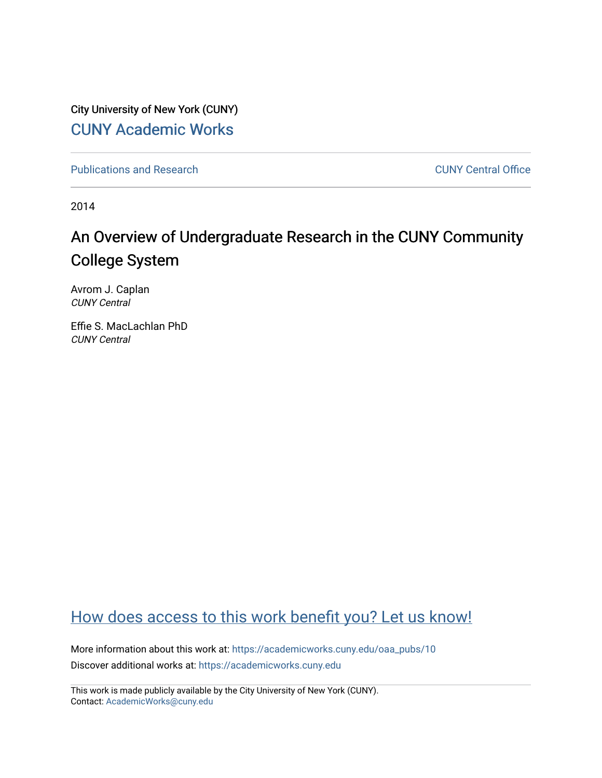City University of New York (CUNY) [CUNY Academic Works](https://academicworks.cuny.edu/) 

[Publications and Research](https://academicworks.cuny.edu/oaa_pubs) **CUNY** Central Office

2014

## An Overview of Undergraduate Research in the CUNY Community College System

Avrom J. Caplan CUNY Central

Effie S. MacLachlan PhD CUNY Central

## [How does access to this work benefit you? Let us know!](http://ols.cuny.edu/academicworks/?ref=https://academicworks.cuny.edu/oaa_pubs/10)

More information about this work at: [https://academicworks.cuny.edu/oaa\\_pubs/10](https://academicworks.cuny.edu/oaa_pubs/10)  Discover additional works at: [https://academicworks.cuny.edu](https://academicworks.cuny.edu/?)

This work is made publicly available by the City University of New York (CUNY). Contact: [AcademicWorks@cuny.edu](mailto:AcademicWorks@cuny.edu)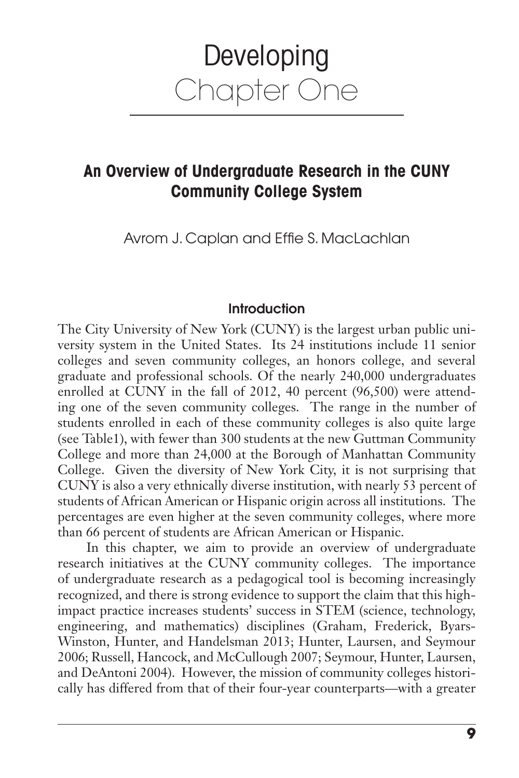# Developing Chapter One

### **An Overview of Undergraduate Research in the CUNY Community College System**

Avrom J. Caplan and Effie S. MacLachlan

#### **Introduction**

The City University of New York (CUNY) is the largest urban public university system in the United States. Its 24 institutions include 11 senior colleges and seven community colleges, an honors college, and several graduate and professional schools. Of the nearly 240,000 undergraduates enrolled at CUNY in the fall of 2012, 40 percent (96,500) were attending one of the seven community colleges. The range in the number of students enrolled in each of these community colleges is also quite large (see Table1), with fewer than 300 students at the new Guttman Community College and more than 24,000 at the Borough of Manhattan Community College. Given the diversity of New York City, it is not surprising that CUNY is also a very ethnically diverse institution, with nearly 53 percent of students of African American or Hispanic origin across all institutions. The percentages are even higher at the seven community colleges, where more than 66 percent of students are African American or Hispanic.

In this chapter, we aim to provide an overview of undergraduate research initiatives at the CUNY community colleges. The importance of undergraduate research as a pedagogical tool is becoming increasingly recognized, and there is strong evidence to support the claim that this highimpact practice increases students' success in STEM (science, technology, engineering, and mathematics) disciplines (Graham, Frederick, Byars-Winston, Hunter, and Handelsman 2013; Hunter, Laursen, and Seymour 2006; Russell, Hancock, and McCullough 2007; Seymour, Hunter, Laursen, and DeAntoni 2004). However, the mission of community colleges historically has differed from that of their four-year counterparts—with a greater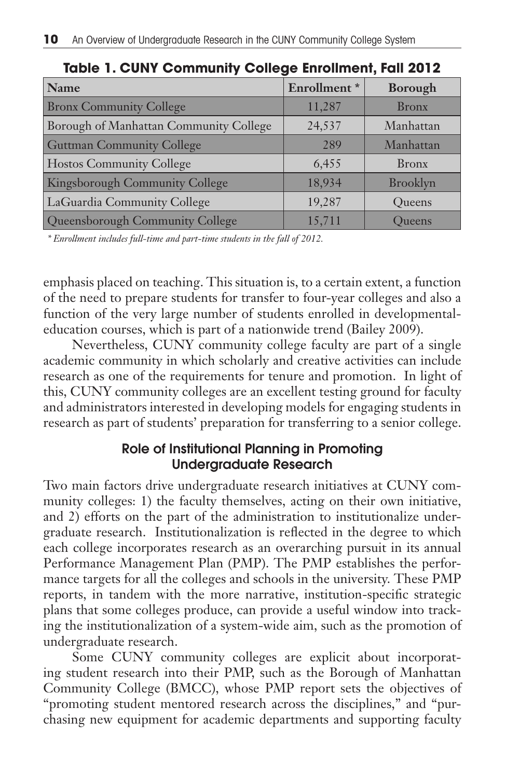| Name                                   | Enrollment* | <b>Borough</b>  |
|----------------------------------------|-------------|-----------------|
| <b>Bronx Community College</b>         | 11,287      | <b>Bronx</b>    |
| Borough of Manhattan Community College | 24,537      | Manhattan       |
| <b>Guttman Community College</b>       | 289         | Manhattan       |
| <b>Hostos Community College</b>        | 6,455       | <b>Bronx</b>    |
| Kingsborough Community College         | 18,934      | <b>Brooklyn</b> |
| LaGuardia Community College            | 19,287      | Queens          |
| Queensborough Community College        | 15,711      | Oueens          |

**Table 1. CUNY Community College Enrollment, Fall 2012**

*\* Enrollment includes full-time and part-time students in the fall of 2012.*

emphasis placed on teaching. This situation is, to a certain extent, a function of the need to prepare students for transfer to four-year colleges and also a function of the very large number of students enrolled in developmentaleducation courses, which is part of a nationwide trend (Bailey 2009).

Nevertheless, CUNY community college faculty are part of a single academic community in which scholarly and creative activities can include research as one of the requirements for tenure and promotion. In light of this, CUNY community colleges are an excellent testing ground for faculty and administrators interested in developing models for engaging students in research as part of students' preparation for transferring to a senior college.

#### **Role of Institutional Planning in Promoting Undergraduate Research**

Two main factors drive undergraduate research initiatives at CUNY community colleges: 1) the faculty themselves, acting on their own initiative, and 2) efforts on the part of the administration to institutionalize undergraduate research. Institutionalization is reflected in the degree to which each college incorporates research as an overarching pursuit in its annual Performance Management Plan (PMP). The PMP establishes the performance targets for all the colleges and schools in the university. These PMP reports, in tandem with the more narrative, institution-specific strategic plans that some colleges produce, can provide a useful window into tracking the institutionalization of a system-wide aim, such as the promotion of undergraduate research.

Some CUNY community colleges are explicit about incorporating student research into their PMP, such as the Borough of Manhattan Community College (BMCC), whose PMP report sets the objectives of "promoting student mentored research across the disciplines," and "purchasing new equipment for academic departments and supporting faculty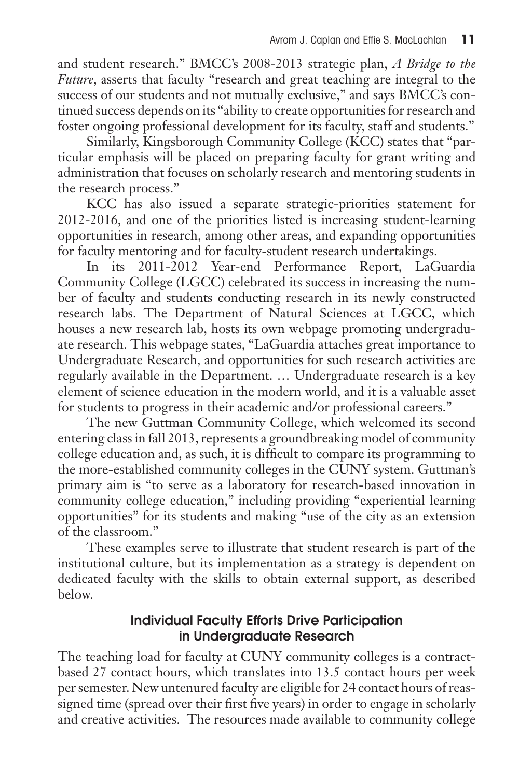and student research." BMCC's 2008-2013 strategic plan, *A Bridge to the Future*, asserts that faculty "research and great teaching are integral to the success of our students and not mutually exclusive," and says BMCC's continued success depends on its "ability to create opportunities for research and foster ongoing professional development for its faculty, staff and students."

Similarly, Kingsborough Community College (KCC) states that "particular emphasis will be placed on preparing faculty for grant writing and administration that focuses on scholarly research and mentoring students in the research process."

KCC has also issued a separate strategic-priorities statement for 2012-2016, and one of the priorities listed is increasing student-learning opportunities in research, among other areas, and expanding opportunities for faculty mentoring and for faculty-student research undertakings.

In its 2011-2012 Year-end Performance Report, LaGuardia Community College (LGCC) celebrated its success in increasing the number of faculty and students conducting research in its newly constructed research labs. The Department of Natural Sciences at LGCC, which houses a new research lab, hosts its own webpage promoting undergraduate research. This webpage states, "LaGuardia attaches great importance to Undergraduate Research, and opportunities for such research activities are regularly available in the Department. … Undergraduate research is a key element of science education in the modern world, and it is a valuable asset for students to progress in their academic and/or professional careers."

The new Guttman Community College, which welcomed its second entering class in fall 2013, represents a groundbreaking model of community college education and, as such, it is difficult to compare its programming to the more-established community colleges in the CUNY system. Guttman's primary aim is "to serve as a laboratory for research-based innovation in community college education," including providing "experiential learning opportunities" for its students and making "use of the city as an extension of the classroom."

These examples serve to illustrate that student research is part of the institutional culture, but its implementation as a strategy is dependent on dedicated faculty with the skills to obtain external support, as described below.

#### **Individual Faculty Efforts Drive Participation in Undergraduate Research**

The teaching load for faculty at CUNY community colleges is a contractbased 27 contact hours, which translates into 13.5 contact hours per week per semester. New untenured faculty are eligible for 24 contact hours of reassigned time (spread over their first five years) in order to engage in scholarly and creative activities. The resources made available to community college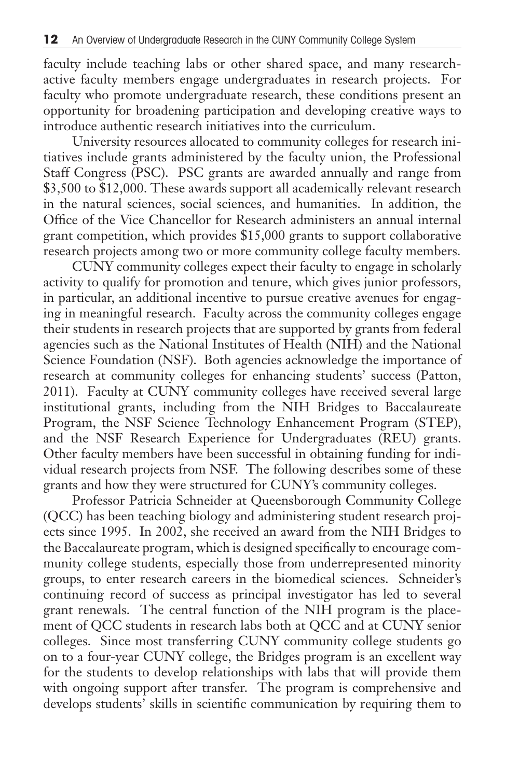faculty include teaching labs or other shared space, and many researchactive faculty members engage undergraduates in research projects. For faculty who promote undergraduate research, these conditions present an opportunity for broadening participation and developing creative ways to introduce authentic research initiatives into the curriculum.

University resources allocated to community colleges for research initiatives include grants administered by the faculty union, the Professional Staff Congress (PSC). PSC grants are awarded annually and range from \$3,500 to \$12,000. These awards support all academically relevant research in the natural sciences, social sciences, and humanities. In addition, the Office of the Vice Chancellor for Research administers an annual internal grant competition, which provides \$15,000 grants to support collaborative research projects among two or more community college faculty members.

CUNY community colleges expect their faculty to engage in scholarly activity to qualify for promotion and tenure, which gives junior professors, in particular, an additional incentive to pursue creative avenues for engaging in meaningful research. Faculty across the community colleges engage their students in research projects that are supported by grants from federal agencies such as the National Institutes of Health (NIH) and the National Science Foundation (NSF). Both agencies acknowledge the importance of research at community colleges for enhancing students' success (Patton, 2011). Faculty at CUNY community colleges have received several large institutional grants, including from the NIH Bridges to Baccalaureate Program, the NSF Science Technology Enhancement Program (STEP), and the NSF Research Experience for Undergraduates (REU) grants. Other faculty members have been successful in obtaining funding for individual research projects from NSF. The following describes some of these grants and how they were structured for CUNY's community colleges.

Professor Patricia Schneider at Queensborough Community College (QCC) has been teaching biology and administering student research projects since 1995. In 2002, she received an award from the NIH Bridges to the Baccalaureate program, which is designed specifically to encourage community college students, especially those from underrepresented minority groups, to enter research careers in the biomedical sciences. Schneider's continuing record of success as principal investigator has led to several grant renewals. The central function of the NIH program is the placement of QCC students in research labs both at QCC and at CUNY senior colleges. Since most transferring CUNY community college students go on to a four-year CUNY college, the Bridges program is an excellent way for the students to develop relationships with labs that will provide them with ongoing support after transfer. The program is comprehensive and develops students' skills in scientific communication by requiring them to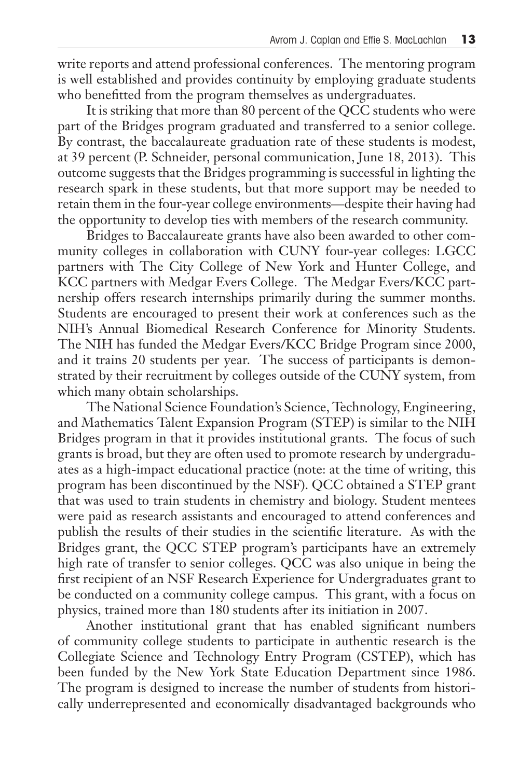write reports and attend professional conferences. The mentoring program is well established and provides continuity by employing graduate students who benefitted from the program themselves as undergraduates.

It is striking that more than 80 percent of the QCC students who were part of the Bridges program graduated and transferred to a senior college. By contrast, the baccalaureate graduation rate of these students is modest, at 39 percent (P. Schneider, personal communication, June 18, 2013). This outcome suggests that the Bridges programming is successful in lighting the research spark in these students, but that more support may be needed to retain them in the four-year college environments—despite their having had the opportunity to develop ties with members of the research community.

Bridges to Baccalaureate grants have also been awarded to other community colleges in collaboration with CUNY four-year colleges: LGCC partners with The City College of New York and Hunter College, and KCC partners with Medgar Evers College. The Medgar Evers/KCC partnership offers research internships primarily during the summer months. Students are encouraged to present their work at conferences such as the NIH's Annual Biomedical Research Conference for Minority Students. The NIH has funded the Medgar Evers/KCC Bridge Program since 2000, and it trains 20 students per year. The success of participants is demonstrated by their recruitment by colleges outside of the CUNY system, from which many obtain scholarships.

The National Science Foundation's Science, Technology, Engineering, and Mathematics Talent Expansion Program (STEP) is similar to the NIH Bridges program in that it provides institutional grants. The focus of such grants is broad, but they are often used to promote research by undergraduates as a high-impact educational practice (note: at the time of writing, this program has been discontinued by the NSF). QCC obtained a STEP grant that was used to train students in chemistry and biology. Student mentees were paid as research assistants and encouraged to attend conferences and publish the results of their studies in the scientific literature. As with the Bridges grant, the QCC STEP program's participants have an extremely high rate of transfer to senior colleges. QCC was also unique in being the first recipient of an NSF Research Experience for Undergraduates grant to be conducted on a community college campus. This grant, with a focus on physics, trained more than 180 students after its initiation in 2007.

Another institutional grant that has enabled significant numbers of community college students to participate in authentic research is the Collegiate Science and Technology Entry Program (CSTEP), which has been funded by the New York State Education Department since 1986. The program is designed to increase the number of students from historically underrepresented and economically disadvantaged backgrounds who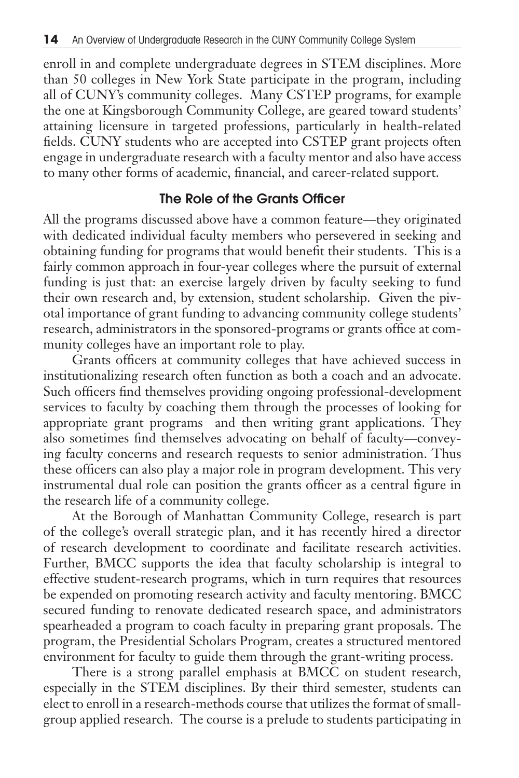enroll in and complete undergraduate degrees in STEM disciplines. More than 50 colleges in New York State participate in the program, including all of CUNY's community colleges. Many CSTEP programs, for example the one at Kingsborough Community College, are geared toward students' attaining licensure in targeted professions, particularly in health-related fields. CUNY students who are accepted into CSTEP grant projects often engage in undergraduate research with a faculty mentor and also have access to many other forms of academic, financial, and career-related support.

#### **The Role of the Grants Officer**

All the programs discussed above have a common feature—they originated with dedicated individual faculty members who persevered in seeking and obtaining funding for programs that would benefit their students. This is a fairly common approach in four-year colleges where the pursuit of external funding is just that: an exercise largely driven by faculty seeking to fund their own research and, by extension, student scholarship. Given the pivotal importance of grant funding to advancing community college students' research, administrators in the sponsored-programs or grants office at community colleges have an important role to play.

Grants officers at community colleges that have achieved success in institutionalizing research often function as both a coach and an advocate. Such officers find themselves providing ongoing professional-development services to faculty by coaching them through the processes of looking for appropriate grant programs and then writing grant applications. They also sometimes find themselves advocating on behalf of faculty—conveying faculty concerns and research requests to senior administration. Thus these officers can also play a major role in program development. This very instrumental dual role can position the grants officer as a central figure in the research life of a community college.

At the Borough of Manhattan Community College, research is part of the college's overall strategic plan, and it has recently hired a director of research development to coordinate and facilitate research activities. Further, BMCC supports the idea that faculty scholarship is integral to effective student-research programs, which in turn requires that resources be expended on promoting research activity and faculty mentoring. BMCC secured funding to renovate dedicated research space, and administrators spearheaded a program to coach faculty in preparing grant proposals. The program, the Presidential Scholars Program, creates a structured mentored environment for faculty to guide them through the grant-writing process.

There is a strong parallel emphasis at BMCC on student research, especially in the STEM disciplines. By their third semester, students can elect to enroll in a research-methods course that utilizes the format of smallgroup applied research. The course is a prelude to students participating in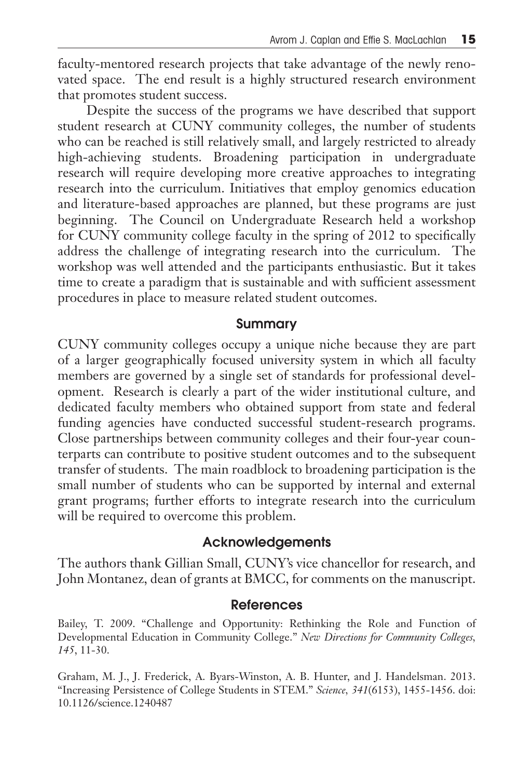faculty-mentored research projects that take advantage of the newly renovated space. The end result is a highly structured research environment that promotes student success.

Despite the success of the programs we have described that support student research at CUNY community colleges, the number of students who can be reached is still relatively small, and largely restricted to already high-achieving students. Broadening participation in undergraduate research will require developing more creative approaches to integrating research into the curriculum. Initiatives that employ genomics education and literature-based approaches are planned, but these programs are just beginning. The Council on Undergraduate Research held a workshop for CUNY community college faculty in the spring of 2012 to specifically address the challenge of integrating research into the curriculum. The workshop was well attended and the participants enthusiastic. But it takes time to create a paradigm that is sustainable and with sufficient assessment procedures in place to measure related student outcomes.

#### **Summary**

CUNY community colleges occupy a unique niche because they are part of a larger geographically focused university system in which all faculty members are governed by a single set of standards for professional development. Research is clearly a part of the wider institutional culture, and dedicated faculty members who obtained support from state and federal funding agencies have conducted successful student-research programs. Close partnerships between community colleges and their four-year counterparts can contribute to positive student outcomes and to the subsequent transfer of students. The main roadblock to broadening participation is the small number of students who can be supported by internal and external grant programs; further efforts to integrate research into the curriculum will be required to overcome this problem.

#### **Acknowledgements**

The authors thank Gillian Small, CUNY's vice chancellor for research, and John Montanez, dean of grants at BMCC, for comments on the manuscript.

#### **References**

Bailey, T. 2009. "Challenge and Opportunity: Rethinking the Role and Function of Developmental Education in Community College." *New Directions for Community Colleges, 145*, 11-30.

Graham, M. J., J. Frederick, A. Byars-Winston, A. B. Hunter, and J. Handelsman. 2013. "Increasing Persistence of College Students in STEM." *Science, 341*(6153), 1455-1456. doi: 10.1126/science.1240487